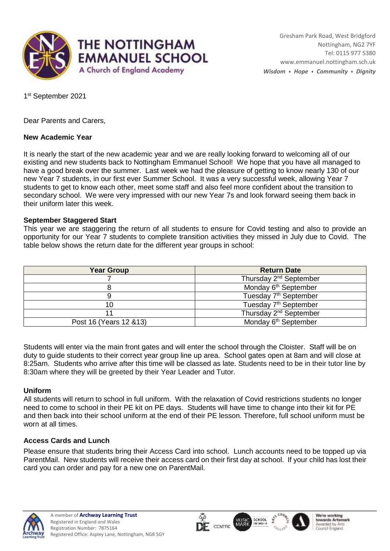

1st September 2021

Dear Parents and Carers,

# **New Academic Year**

It is nearly the start of the new academic year and we are really looking forward to welcoming all of our existing and new students back to Nottingham Emmanuel School! We hope that you have all managed to have a good break over the summer. Last week we had the pleasure of getting to know nearly 130 of our new Year 7 students, in our first ever Summer School. It was a very successful week, allowing Year 7 students to get to know each other, meet some staff and also feel more confident about the transition to secondary school. We were very impressed with our new Year 7s and look forward seeing them back in their uniform later this week.

## **September Staggered Start**

This year we are staggering the return of all students to ensure for Covid testing and also to provide an opportunity for our Year 7 students to complete transition activities they missed in July due to Covid. The table below shows the return date for the different year groups in school:

| <b>Year Group</b>       | <b>Return Date</b>                 |
|-------------------------|------------------------------------|
|                         | Thursday 2 <sup>nd</sup> September |
|                         | Monday 6 <sup>th</sup> September   |
|                         | Tuesday 7 <sup>th</sup> September  |
| 10                      | Tuesday 7 <sup>th</sup> September  |
|                         | Thursday 2 <sup>nd</sup> September |
| Post 16 (Years 12 & 13) | Monday 6 <sup>th</sup> September   |

Students will enter via the main front gates and will enter the school through the Cloister. Staff will be on duty to guide students to their correct year group line up area. School gates open at 8am and will close at 8:25am. Students who arrive after this time will be classed as late. Students need to be in their tutor line by 8:30am where they will be greeted by their Year Leader and Tutor.

## **Uniform**

All students will return to school in full uniform. With the relaxation of Covid restrictions students no longer need to come to school in their PE kit on PE days. Students will have time to change into their kit for PE and then back into their school uniform at the end of their PE lesson. Therefore, full school uniform must be worn at all times.

## **Access Cards and Lunch**

Please ensure that students bring their Access Card into school. Lunch accounts need to be topped up via ParentMail. New students will receive their access card on their first day at school. If your child has lost their card you can order and pay for a new one on ParentMail.